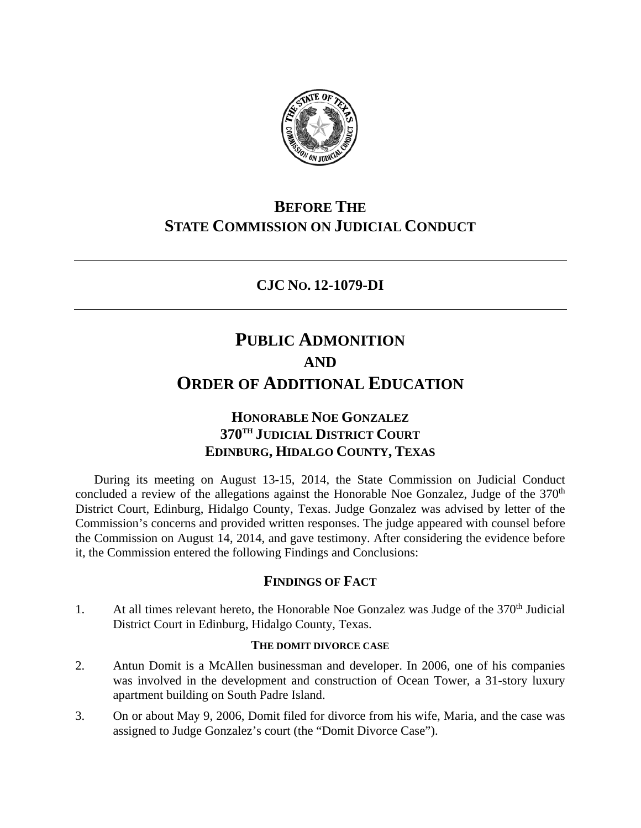

## **BEFORE THE STATE COMMISSION ON JUDICIAL CONDUCT**

## **CJC NO. 12-1079-DI**

# **PUBLIC ADMONITION AND ORDER OF ADDITIONAL EDUCATION**

## **HONORABLE NOE GONZALEZ 370TH JUDICIAL DISTRICT COURT EDINBURG, HIDALGO COUNTY, TEXAS**

During its meeting on August 13-15, 2014, the State Commission on Judicial Conduct concluded a review of the allegations against the Honorable Noe Gonzalez, Judge of the  $370<sup>th</sup>$ District Court, Edinburg, Hidalgo County, Texas. Judge Gonzalez was advised by letter of the Commission's concerns and provided written responses. The judge appeared with counsel before the Commission on August 14, 2014, and gave testimony. After considering the evidence before it, the Commission entered the following Findings and Conclusions:

### **FINDINGS OF FACT**

1. At all times relevant hereto, the Honorable Noe Gonzalez was Judge of the  $370<sup>th</sup>$  Judicial District Court in Edinburg, Hidalgo County, Texas.

#### **THE DOMIT DIVORCE CASE**

- 2. Antun Domit is a McAllen businessman and developer. In 2006, one of his companies was involved in the development and construction of Ocean Tower, a 31-story luxury apartment building on South Padre Island.
- 3. On or about May 9, 2006, Domit filed for divorce from his wife, Maria, and the case was assigned to Judge Gonzalez's court (the "Domit Divorce Case").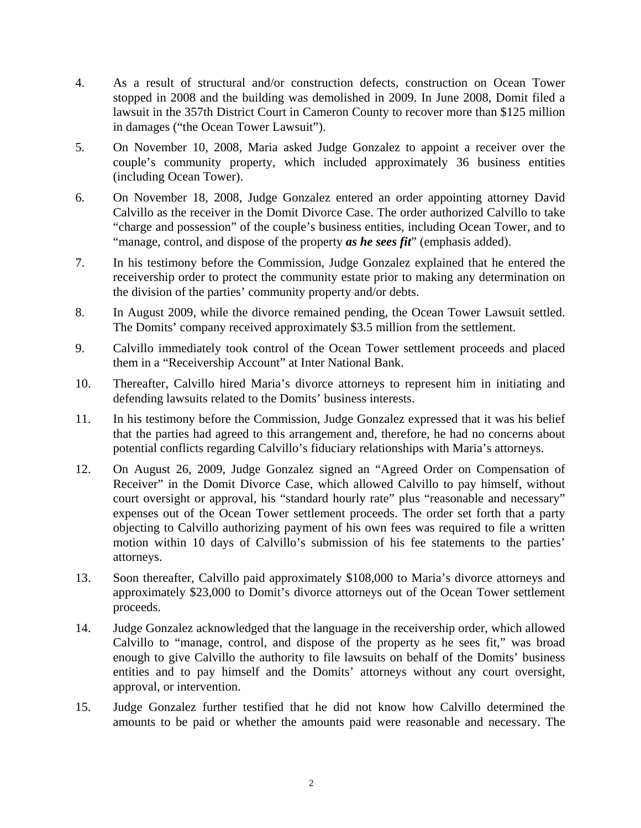- 4. As a result of structural and/or construction defects, construction on Ocean Tower stopped in 2008 and the building was demolished in 2009. In June 2008, Domit filed a lawsuit in the 357th District Court in Cameron County to recover more than \$125 million in damages ("the Ocean Tower Lawsuit").
- 5. On November 10, 2008, Maria asked Judge Gonzalez to appoint a receiver over the couple's community property, which included approximately 36 business entities (including Ocean Tower).
- 6. On November 18, 2008, Judge Gonzalez entered an order appointing attorney David Calvillo as the receiver in the Domit Divorce Case. The order authorized Calvillo to take "charge and possession" of the couple's business entities, including Ocean Tower, and to "manage, control, and dispose of the property *as he sees fit*" (emphasis added).
- 7. In his testimony before the Commission, Judge Gonzalez explained that he entered the receivership order to protect the community estate prior to making any determination on the division of the parties' community property and/or debts.
- 8. In August 2009, while the divorce remained pending, the Ocean Tower Lawsuit settled. The Domits' company received approximately \$3.5 million from the settlement.
- 9. Calvillo immediately took control of the Ocean Tower settlement proceeds and placed them in a "Receivership Account" at Inter National Bank.
- 10. Thereafter, Calvillo hired Maria's divorce attorneys to represent him in initiating and defending lawsuits related to the Domits' business interests.
- 11. In his testimony before the Commission, Judge Gonzalez expressed that it was his belief that the parties had agreed to this arrangement and, therefore, he had no concerns about potential conflicts regarding Calvillo's fiduciary relationships with Maria's attorneys.
- 12. On August 26, 2009, Judge Gonzalez signed an "Agreed Order on Compensation of Receiver" in the Domit Divorce Case, which allowed Calvillo to pay himself, without court oversight or approval, his "standard hourly rate" plus "reasonable and necessary" expenses out of the Ocean Tower settlement proceeds. The order set forth that a party objecting to Calvillo authorizing payment of his own fees was required to file a written motion within 10 days of Calvillo's submission of his fee statements to the parties' attorneys.
- 13. Soon thereafter, Calvillo paid approximately \$108,000 to Maria's divorce attorneys and approximately \$23,000 to Domit's divorce attorneys out of the Ocean Tower settlement proceeds.
- 14. Judge Gonzalez acknowledged that the language in the receivership order, which allowed Calvillo to "manage, control, and dispose of the property as he sees fit," was broad enough to give Calvillo the authority to file lawsuits on behalf of the Domits' business entities and to pay himself and the Domits' attorneys without any court oversight, approval, or intervention.
- 15. Judge Gonzalez further testified that he did not know how Calvillo determined the amounts to be paid or whether the amounts paid were reasonable and necessary. The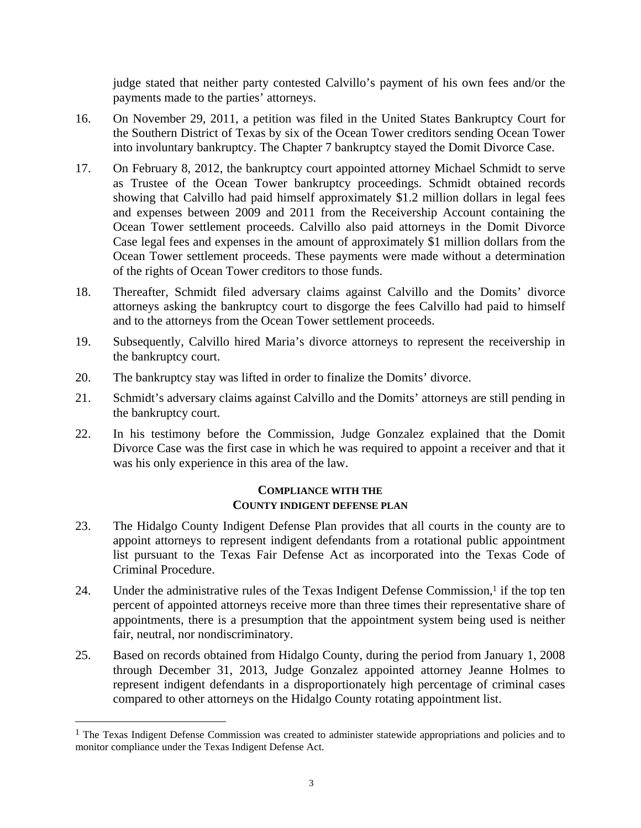judge stated that neither party contested Calvillo's payment of his own fees and/or the payments made to the parties' attorneys.

- 16. On November 29, 2011, a petition was filed in the United States Bankruptcy Court for the Southern District of Texas by six of the Ocean Tower creditors sending Ocean Tower into involuntary bankruptcy. The Chapter 7 bankruptcy stayed the Domit Divorce Case.
- 17. On February 8, 2012, the bankruptcy court appointed attorney Michael Schmidt to serve as Trustee of the Ocean Tower bankruptcy proceedings. Schmidt obtained records showing that Calvillo had paid himself approximately \$1.2 million dollars in legal fees and expenses between 2009 and 2011 from the Receivership Account containing the Ocean Tower settlement proceeds. Calvillo also paid attorneys in the Domit Divorce Case legal fees and expenses in the amount of approximately \$1 million dollars from the Ocean Tower settlement proceeds. These payments were made without a determination of the rights of Ocean Tower creditors to those funds.
- 18. Thereafter, Schmidt filed adversary claims against Calvillo and the Domits' divorce attorneys asking the bankruptcy court to disgorge the fees Calvillo had paid to himself and to the attorneys from the Ocean Tower settlement proceeds.
- 19. Subsequently, Calvillo hired Maria's divorce attorneys to represent the receivership in the bankruptcy court.
- 20. The bankruptcy stay was lifted in order to finalize the Domits' divorce.
- 21. Schmidt's adversary claims against Calvillo and the Domits' attorneys are still pending in the bankruptcy court.
- 22. In his testimony before the Commission, Judge Gonzalez explained that the Domit Divorce Case was the first case in which he was required to appoint a receiver and that it was his only experience in this area of the law.

#### **COMPLIANCE WITH THE COUNTY INDIGENT DEFENSE PLAN**

- 23. The Hidalgo County Indigent Defense Plan provides that all courts in the county are to appoint attorneys to represent indigent defendants from a rotational public appointment list pursuant to the Texas Fair Defense Act as incorporated into the Texas Code of Criminal Procedure.
- 24. Under the administrative rules of the Texas Indigent Defense Commission,<sup>1</sup> if the top ten percent of appointed attorneys receive more than three times their representative share of appointments, there is a presumption that the appointment system being used is neither fair, neutral, nor nondiscriminatory.
- 25. Based on records obtained from Hidalgo County, during the period from January 1, 2008 through December 31, 2013, Judge Gonzalez appointed attorney Jeanne Holmes to represent indigent defendants in a disproportionately high percentage of criminal cases compared to other attorneys on the Hidalgo County rotating appointment list.

l

<sup>&</sup>lt;sup>1</sup> The Texas Indigent Defense Commission was created to administer statewide appropriations and policies and to monitor compliance under the Texas Indigent Defense Act.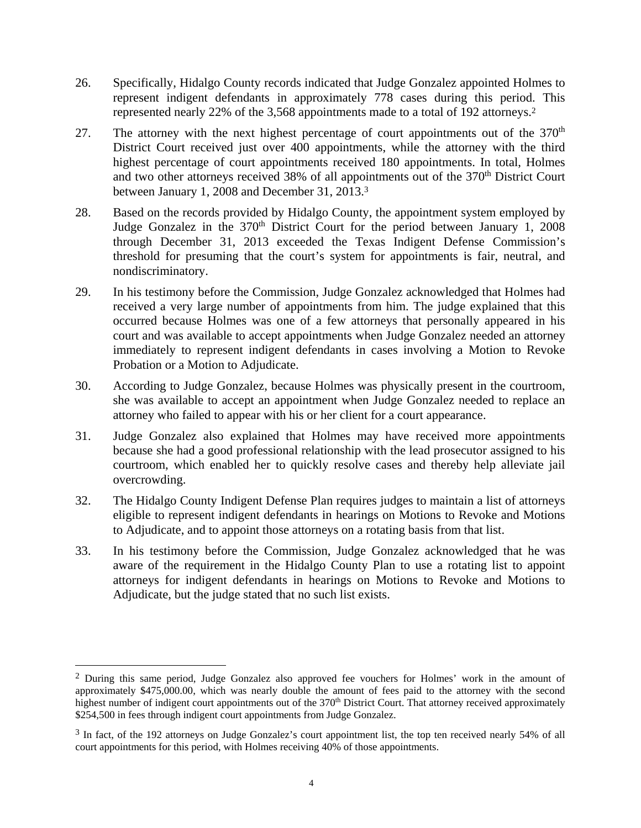- 26. Specifically, Hidalgo County records indicated that Judge Gonzalez appointed Holmes to represent indigent defendants in approximately 778 cases during this period. This represented nearly 22% of the 3,568 appointments made to a total of 192 attorneys.2
- 27. The attorney with the next highest percentage of court appointments out of the  $370<sup>th</sup>$ District Court received just over 400 appointments, while the attorney with the third highest percentage of court appointments received 180 appointments. In total, Holmes and two other attorneys received 38% of all appointments out of the 370<sup>th</sup> District Court between January 1, 2008 and December 31, 2013.3
- 28. Based on the records provided by Hidalgo County, the appointment system employed by Judge Gonzalez in the 370<sup>th</sup> District Court for the period between January 1, 2008 through December 31, 2013 exceeded the Texas Indigent Defense Commission's threshold for presuming that the court's system for appointments is fair, neutral, and nondiscriminatory.
- 29. In his testimony before the Commission, Judge Gonzalez acknowledged that Holmes had received a very large number of appointments from him. The judge explained that this occurred because Holmes was one of a few attorneys that personally appeared in his court and was available to accept appointments when Judge Gonzalez needed an attorney immediately to represent indigent defendants in cases involving a Motion to Revoke Probation or a Motion to Adjudicate.
- 30. According to Judge Gonzalez, because Holmes was physically present in the courtroom, she was available to accept an appointment when Judge Gonzalez needed to replace an attorney who failed to appear with his or her client for a court appearance.
- 31. Judge Gonzalez also explained that Holmes may have received more appointments because she had a good professional relationship with the lead prosecutor assigned to his courtroom, which enabled her to quickly resolve cases and thereby help alleviate jail overcrowding.
- 32. The Hidalgo County Indigent Defense Plan requires judges to maintain a list of attorneys eligible to represent indigent defendants in hearings on Motions to Revoke and Motions to Adjudicate, and to appoint those attorneys on a rotating basis from that list.
- 33. In his testimony before the Commission, Judge Gonzalez acknowledged that he was aware of the requirement in the Hidalgo County Plan to use a rotating list to appoint attorneys for indigent defendants in hearings on Motions to Revoke and Motions to Adjudicate, but the judge stated that no such list exists.

l

<sup>2</sup> During this same period, Judge Gonzalez also approved fee vouchers for Holmes' work in the amount of approximately \$475,000.00, which was nearly double the amount of fees paid to the attorney with the second highest number of indigent court appointments out of the 370<sup>th</sup> District Court. That attorney received approximately \$254,500 in fees through indigent court appointments from Judge Gonzalez.

<sup>3</sup> In fact, of the 192 attorneys on Judge Gonzalez's court appointment list, the top ten received nearly 54% of all court appointments for this period, with Holmes receiving 40% of those appointments.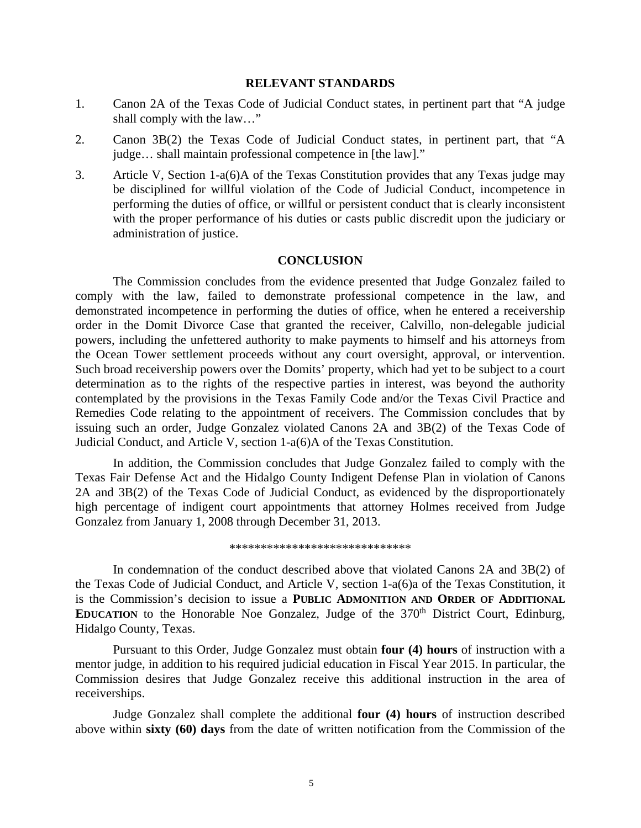#### **RELEVANT STANDARDS**

- 1. Canon 2A of the Texas Code of Judicial Conduct states, in pertinent part that "A judge shall comply with the law…"
- 2. Canon 3B(2) the Texas Code of Judicial Conduct states, in pertinent part, that "A judge… shall maintain professional competence in [the law]."
- 3. Article V, Section 1-a(6)A of the Texas Constitution provides that any Texas judge may be disciplined for willful violation of the Code of Judicial Conduct, incompetence in performing the duties of office, or willful or persistent conduct that is clearly inconsistent with the proper performance of his duties or casts public discredit upon the judiciary or administration of justice.

#### **CONCLUSION**

 The Commission concludes from the evidence presented that Judge Gonzalez failed to comply with the law, failed to demonstrate professional competence in the law, and demonstrated incompetence in performing the duties of office, when he entered a receivership order in the Domit Divorce Case that granted the receiver, Calvillo, non-delegable judicial powers, including the unfettered authority to make payments to himself and his attorneys from the Ocean Tower settlement proceeds without any court oversight, approval, or intervention. Such broad receivership powers over the Domits' property, which had yet to be subject to a court determination as to the rights of the respective parties in interest, was beyond the authority contemplated by the provisions in the Texas Family Code and/or the Texas Civil Practice and Remedies Code relating to the appointment of receivers. The Commission concludes that by issuing such an order, Judge Gonzalez violated Canons 2A and 3B(2) of the Texas Code of Judicial Conduct, and Article V, section 1-a(6)A of the Texas Constitution.

 In addition, the Commission concludes that Judge Gonzalez failed to comply with the Texas Fair Defense Act and the Hidalgo County Indigent Defense Plan in violation of Canons 2A and 3B(2) of the Texas Code of Judicial Conduct, as evidenced by the disproportionately high percentage of indigent court appointments that attorney Holmes received from Judge Gonzalez from January 1, 2008 through December 31, 2013.

\*\*\*\*\*\*\*\*\*\*\*\*\*\*\*\*\*\*\*\*\*\*\*\*\*\*\*\*\*

In condemnation of the conduct described above that violated Canons 2A and 3B(2) of the Texas Code of Judicial Conduct, and Article V, section 1-a(6)a of the Texas Constitution, it is the Commission's decision to issue a **PUBLIC ADMONITION AND ORDER OF ADDITIONAL EDUCATION** to the Honorable Noe Gonzalez, Judge of the 370<sup>th</sup> District Court, Edinburg, Hidalgo County, Texas.

 Pursuant to this Order, Judge Gonzalez must obtain **four (4) hours** of instruction with a mentor judge, in addition to his required judicial education in Fiscal Year 2015. In particular, the Commission desires that Judge Gonzalez receive this additional instruction in the area of receiverships.

 Judge Gonzalez shall complete the additional **four (4) hours** of instruction described above within **sixty (60) days** from the date of written notification from the Commission of the